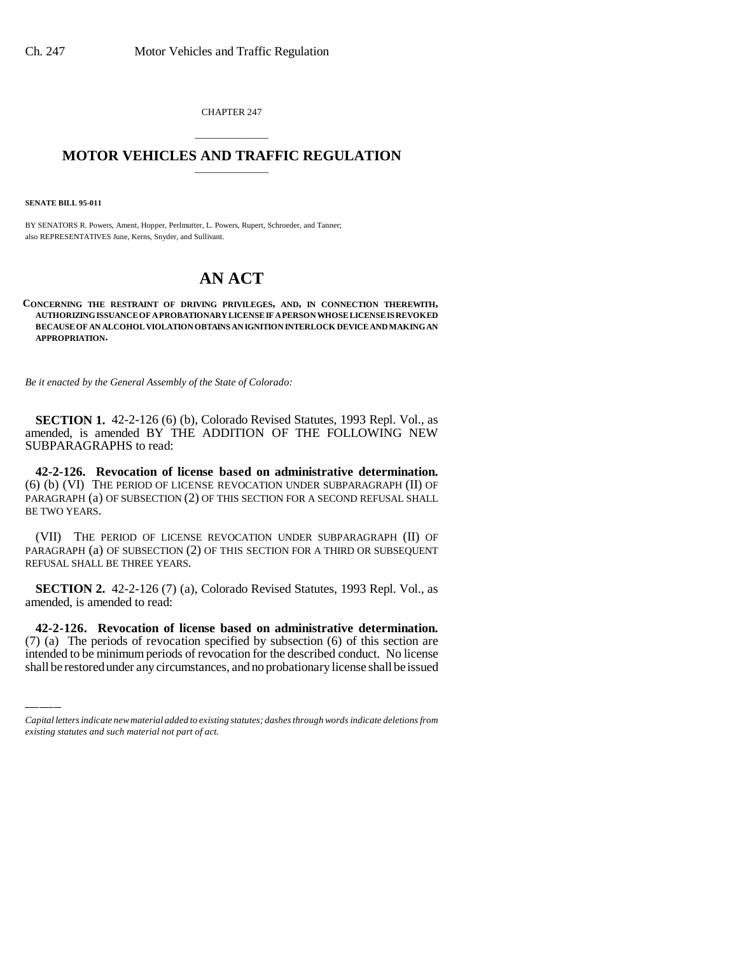CHAPTER 247

## \_\_\_\_\_\_\_\_\_\_\_\_\_\_\_ **MOTOR VEHICLES AND TRAFFIC REGULATION** \_\_\_\_\_\_\_\_\_\_\_\_\_\_\_

**SENATE BILL 95-011**

BY SENATORS R. Powers, Ament, Hopper, Perlmutter, L. Powers, Rupert, Schroeder, and Tanner; also REPRESENTATIVES June, Kerns, Snyder, and Sullivant.

## **AN ACT**

**CONCERNING THE RESTRAINT OF DRIVING PRIVILEGES, AND, IN CONNECTION THEREWITH, AUTHORIZING ISSUANCE OF A PROBATIONARY LICENSE IF A PERSON WHOSE LICENSE IS REVOKED BECAUSE OF AN ALCOHOL VIOLATION OBTAINS AN IGNITION INTERLOCK DEVICE AND MAKING AN APPROPRIATION.**

*Be it enacted by the General Assembly of the State of Colorado:*

**SECTION 1.** 42-2-126 (6) (b), Colorado Revised Statutes, 1993 Repl. Vol., as amended, is amended BY THE ADDITION OF THE FOLLOWING NEW SUBPARAGRAPHS to read:

**42-2-126. Revocation of license based on administrative determination.** (6) (b) (VI) THE PERIOD OF LICENSE REVOCATION UNDER SUBPARAGRAPH (II) OF PARAGRAPH (a) OF SUBSECTION (2) OF THIS SECTION FOR A SECOND REFUSAL SHALL BE TWO YEARS.

(VII) THE PERIOD OF LICENSE REVOCATION UNDER SUBPARAGRAPH (II) OF PARAGRAPH (a) OF SUBSECTION (2) OF THIS SECTION FOR A THIRD OR SUBSEQUENT REFUSAL SHALL BE THREE YEARS.

**SECTION 2.** 42-2-126 (7) (a), Colorado Revised Statutes, 1993 Repl. Vol., as amended, is amended to read:

 $\frac{1}{2}$ **42-2-126. Revocation of license based on administrative determination.** (7) (a) The periods of revocation specified by subsection (6) of this section are intended to be minimum periods of revocation for the described conduct. No license shall be restored under any circumstances, and no probationary license shall be issued

*Capital letters indicate new material added to existing statutes; dashes through words indicate deletions from existing statutes and such material not part of act.*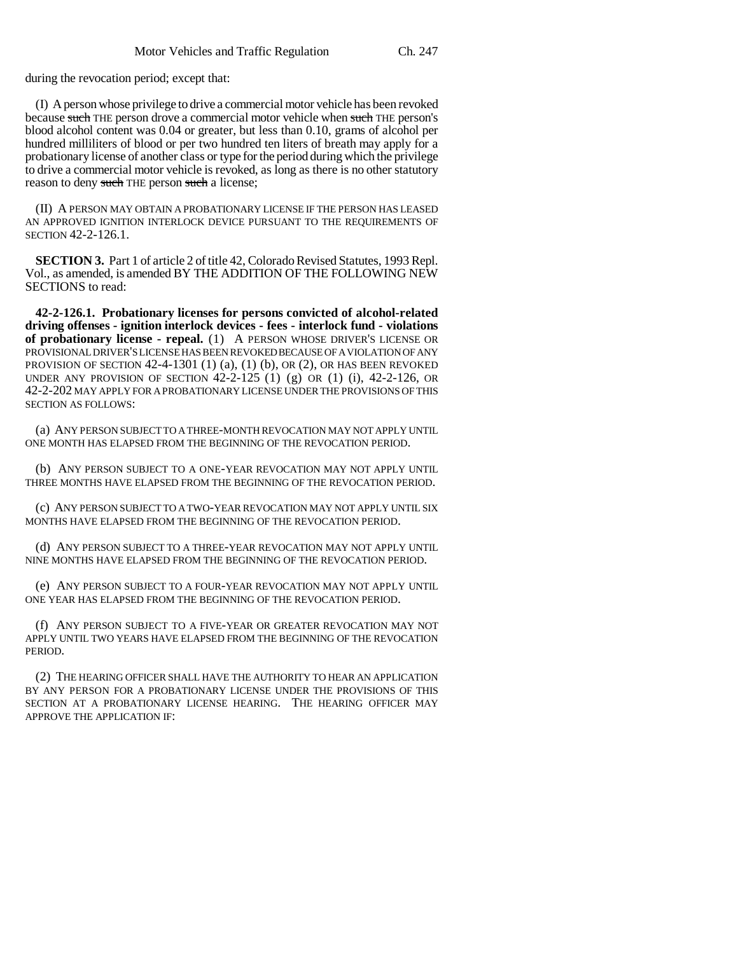during the revocation period; except that:

(I) A person whose privilege to drive a commercial motor vehicle has been revoked because such THE person drove a commercial motor vehicle when such THE person's blood alcohol content was 0.04 or greater, but less than 0.10, grams of alcohol per hundred milliliters of blood or per two hundred ten liters of breath may apply for a probationary license of another class or type for the period during which the privilege to drive a commercial motor vehicle is revoked, as long as there is no other statutory reason to deny such THE person such a license;

(II) A PERSON MAY OBTAIN A PROBATIONARY LICENSE IF THE PERSON HAS LEASED AN APPROVED IGNITION INTERLOCK DEVICE PURSUANT TO THE REQUIREMENTS OF SECTION 42-2-126.1.

**SECTION 3.** Part 1 of article 2 of title 42, Colorado Revised Statutes, 1993 Repl. Vol., as amended, is amended BY THE ADDITION OF THE FOLLOWING NEW SECTIONS to read:

**42-2-126.1. Probationary licenses for persons convicted of alcohol-related driving offenses - ignition interlock devices - fees - interlock fund - violations of probationary license - repeal.** (1) A PERSON WHOSE DRIVER'S LICENSE OR PROVISIONAL DRIVER'S LICENSE HAS BEEN REVOKED BECAUSE OF A VIOLATION OF ANY PROVISION OF SECTION  $42-4-1301$  (1) (a), (1) (b), OR (2), OR HAS BEEN REVOKED UNDER ANY PROVISION OF SECTION 42-2-125 (1) (g) OR (1) (i), 42-2-126, OR 42-2-202 MAY APPLY FOR A PROBATIONARY LICENSE UNDER THE PROVISIONS OF THIS SECTION AS FOLLOWS:

(a) ANY PERSON SUBJECT TO A THREE-MONTH REVOCATION MAY NOT APPLY UNTIL ONE MONTH HAS ELAPSED FROM THE BEGINNING OF THE REVOCATION PERIOD.

(b) ANY PERSON SUBJECT TO A ONE-YEAR REVOCATION MAY NOT APPLY UNTIL THREE MONTHS HAVE ELAPSED FROM THE BEGINNING OF THE REVOCATION PERIOD.

(c) ANY PERSON SUBJECT TO A TWO-YEAR REVOCATION MAY NOT APPLY UNTIL SIX MONTHS HAVE ELAPSED FROM THE BEGINNING OF THE REVOCATION PERIOD.

(d) ANY PERSON SUBJECT TO A THREE-YEAR REVOCATION MAY NOT APPLY UNTIL NINE MONTHS HAVE ELAPSED FROM THE BEGINNING OF THE REVOCATION PERIOD.

(e) ANY PERSON SUBJECT TO A FOUR-YEAR REVOCATION MAY NOT APPLY UNTIL ONE YEAR HAS ELAPSED FROM THE BEGINNING OF THE REVOCATION PERIOD.

(f) ANY PERSON SUBJECT TO A FIVE-YEAR OR GREATER REVOCATION MAY NOT APPLY UNTIL TWO YEARS HAVE ELAPSED FROM THE BEGINNING OF THE REVOCATION PERIOD.

(2) THE HEARING OFFICER SHALL HAVE THE AUTHORITY TO HEAR AN APPLICATION BY ANY PERSON FOR A PROBATIONARY LICENSE UNDER THE PROVISIONS OF THIS SECTION AT A PROBATIONARY LICENSE HEARING. THE HEARING OFFICER MAY APPROVE THE APPLICATION IF: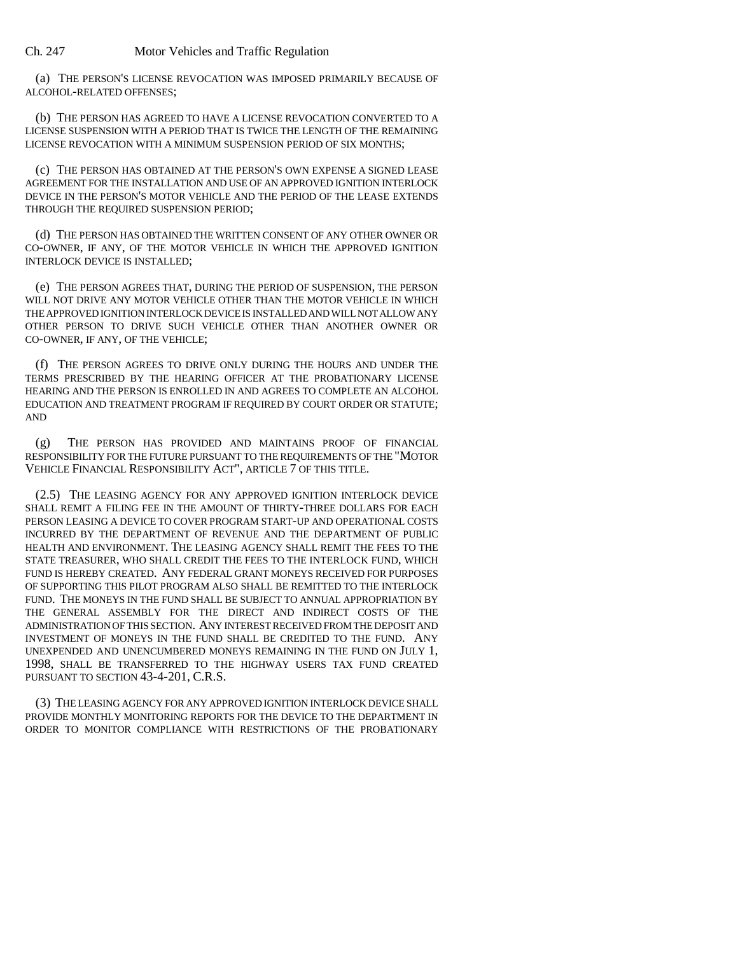Ch. 247 Motor Vehicles and Traffic Regulation

(a) THE PERSON'S LICENSE REVOCATION WAS IMPOSED PRIMARILY BECAUSE OF ALCOHOL-RELATED OFFENSES;

(b) THE PERSON HAS AGREED TO HAVE A LICENSE REVOCATION CONVERTED TO A LICENSE SUSPENSION WITH A PERIOD THAT IS TWICE THE LENGTH OF THE REMAINING LICENSE REVOCATION WITH A MINIMUM SUSPENSION PERIOD OF SIX MONTHS;

(c) THE PERSON HAS OBTAINED AT THE PERSON'S OWN EXPENSE A SIGNED LEASE AGREEMENT FOR THE INSTALLATION AND USE OF AN APPROVED IGNITION INTERLOCK DEVICE IN THE PERSON'S MOTOR VEHICLE AND THE PERIOD OF THE LEASE EXTENDS THROUGH THE REQUIRED SUSPENSION PERIOD;

(d) THE PERSON HAS OBTAINED THE WRITTEN CONSENT OF ANY OTHER OWNER OR CO-OWNER, IF ANY, OF THE MOTOR VEHICLE IN WHICH THE APPROVED IGNITION INTERLOCK DEVICE IS INSTALLED;

(e) THE PERSON AGREES THAT, DURING THE PERIOD OF SUSPENSION, THE PERSON WILL NOT DRIVE ANY MOTOR VEHICLE OTHER THAN THE MOTOR VEHICLE IN WHICH THE APPROVED IGNITION INTERLOCK DEVICE IS INSTALLED AND WILL NOT ALLOW ANY OTHER PERSON TO DRIVE SUCH VEHICLE OTHER THAN ANOTHER OWNER OR CO-OWNER, IF ANY, OF THE VEHICLE;

(f) THE PERSON AGREES TO DRIVE ONLY DURING THE HOURS AND UNDER THE TERMS PRESCRIBED BY THE HEARING OFFICER AT THE PROBATIONARY LICENSE HEARING AND THE PERSON IS ENROLLED IN AND AGREES TO COMPLETE AN ALCOHOL EDUCATION AND TREATMENT PROGRAM IF REQUIRED BY COURT ORDER OR STATUTE; AND

(g) THE PERSON HAS PROVIDED AND MAINTAINS PROOF OF FINANCIAL RESPONSIBILITY FOR THE FUTURE PURSUANT TO THE REQUIREMENTS OF THE "MOTOR VEHICLE FINANCIAL RESPONSIBILITY ACT", ARTICLE 7 OF THIS TITLE.

(2.5) THE LEASING AGENCY FOR ANY APPROVED IGNITION INTERLOCK DEVICE SHALL REMIT A FILING FEE IN THE AMOUNT OF THIRTY-THREE DOLLARS FOR EACH PERSON LEASING A DEVICE TO COVER PROGRAM START-UP AND OPERATIONAL COSTS INCURRED BY THE DEPARTMENT OF REVENUE AND THE DEPARTMENT OF PUBLIC HEALTH AND ENVIRONMENT. THE LEASING AGENCY SHALL REMIT THE FEES TO THE STATE TREASURER, WHO SHALL CREDIT THE FEES TO THE INTERLOCK FUND, WHICH FUND IS HEREBY CREATED. ANY FEDERAL GRANT MONEYS RECEIVED FOR PURPOSES OF SUPPORTING THIS PILOT PROGRAM ALSO SHALL BE REMITTED TO THE INTERLOCK FUND. THE MONEYS IN THE FUND SHALL BE SUBJECT TO ANNUAL APPROPRIATION BY THE GENERAL ASSEMBLY FOR THE DIRECT AND INDIRECT COSTS OF THE ADMINISTRATION OF THIS SECTION. ANY INTEREST RECEIVED FROM THE DEPOSIT AND INVESTMENT OF MONEYS IN THE FUND SHALL BE CREDITED TO THE FUND. ANY UNEXPENDED AND UNENCUMBERED MONEYS REMAINING IN THE FUND ON JULY 1, 1998, SHALL BE TRANSFERRED TO THE HIGHWAY USERS TAX FUND CREATED PURSUANT TO SECTION 43-4-201, C.R.S.

(3) THE LEASING AGENCY FOR ANY APPROVED IGNITION INTERLOCK DEVICE SHALL PROVIDE MONTHLY MONITORING REPORTS FOR THE DEVICE TO THE DEPARTMENT IN ORDER TO MONITOR COMPLIANCE WITH RESTRICTIONS OF THE PROBATIONARY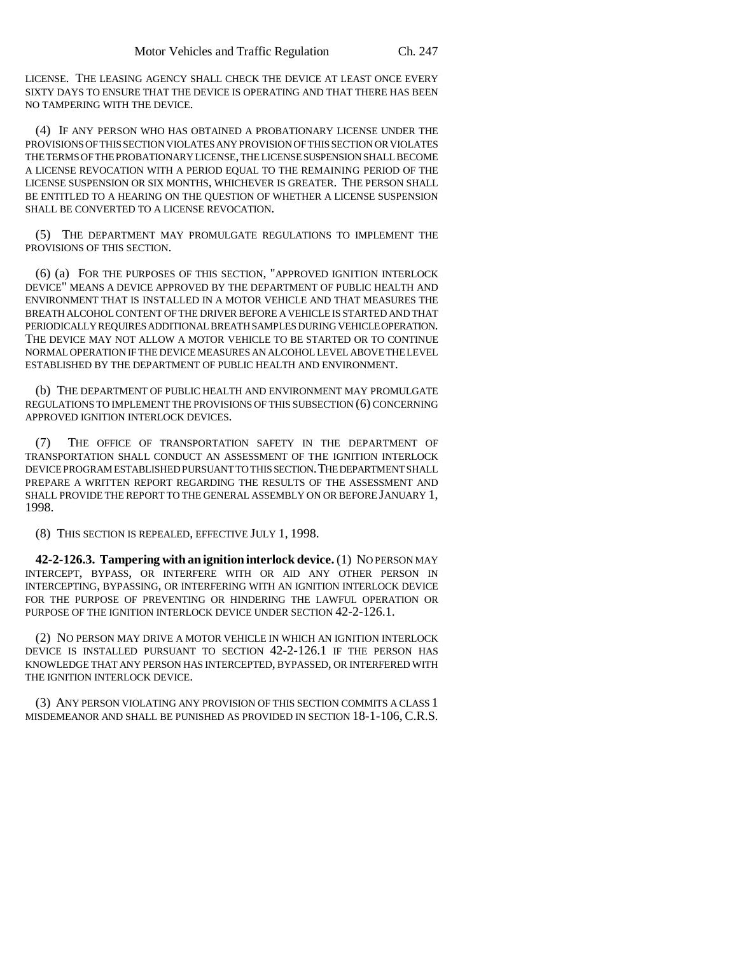LICENSE. THE LEASING AGENCY SHALL CHECK THE DEVICE AT LEAST ONCE EVERY SIXTY DAYS TO ENSURE THAT THE DEVICE IS OPERATING AND THAT THERE HAS BEEN NO TAMPERING WITH THE DEVICE.

(4) IF ANY PERSON WHO HAS OBTAINED A PROBATIONARY LICENSE UNDER THE PROVISIONS OF THIS SECTION VIOLATES ANY PROVISION OF THIS SECTION OR VIOLATES THE TERMS OF THE PROBATIONARY LICENSE, THE LICENSE SUSPENSION SHALL BECOME A LICENSE REVOCATION WITH A PERIOD EQUAL TO THE REMAINING PERIOD OF THE LICENSE SUSPENSION OR SIX MONTHS, WHICHEVER IS GREATER. THE PERSON SHALL BE ENTITLED TO A HEARING ON THE QUESTION OF WHETHER A LICENSE SUSPENSION SHALL BE CONVERTED TO A LICENSE REVOCATION.

(5) THE DEPARTMENT MAY PROMULGATE REGULATIONS TO IMPLEMENT THE PROVISIONS OF THIS SECTION.

(6) (a) FOR THE PURPOSES OF THIS SECTION, "APPROVED IGNITION INTERLOCK DEVICE" MEANS A DEVICE APPROVED BY THE DEPARTMENT OF PUBLIC HEALTH AND ENVIRONMENT THAT IS INSTALLED IN A MOTOR VEHICLE AND THAT MEASURES THE BREATH ALCOHOL CONTENT OF THE DRIVER BEFORE A VEHICLE IS STARTED AND THAT PERIODICALLY REQUIRES ADDITIONAL BREATH SAMPLES DURING VEHICLE OPERATION. THE DEVICE MAY NOT ALLOW A MOTOR VEHICLE TO BE STARTED OR TO CONTINUE NORMAL OPERATION IF THE DEVICE MEASURES AN ALCOHOL LEVEL ABOVE THE LEVEL ESTABLISHED BY THE DEPARTMENT OF PUBLIC HEALTH AND ENVIRONMENT.

(b) THE DEPARTMENT OF PUBLIC HEALTH AND ENVIRONMENT MAY PROMULGATE REGULATIONS TO IMPLEMENT THE PROVISIONS OF THIS SUBSECTION (6) CONCERNING APPROVED IGNITION INTERLOCK DEVICES.

(7) THE OFFICE OF TRANSPORTATION SAFETY IN THE DEPARTMENT OF TRANSPORTATION SHALL CONDUCT AN ASSESSMENT OF THE IGNITION INTERLOCK DEVICE PROGRAM ESTABLISHED PURSUANT TO THIS SECTION. THE DEPARTMENT SHALL PREPARE A WRITTEN REPORT REGARDING THE RESULTS OF THE ASSESSMENT AND SHALL PROVIDE THE REPORT TO THE GENERAL ASSEMBLY ON OR BEFORE JANUARY 1, 1998.

(8) THIS SECTION IS REPEALED, EFFECTIVE JULY 1, 1998.

**42-2-126.3. Tampering with an ignition interlock device.** (1) NO PERSON MAY INTERCEPT, BYPASS, OR INTERFERE WITH OR AID ANY OTHER PERSON IN INTERCEPTING, BYPASSING, OR INTERFERING WITH AN IGNITION INTERLOCK DEVICE FOR THE PURPOSE OF PREVENTING OR HINDERING THE LAWFUL OPERATION OR PURPOSE OF THE IGNITION INTERLOCK DEVICE UNDER SECTION 42-2-126.1.

(2) NO PERSON MAY DRIVE A MOTOR VEHICLE IN WHICH AN IGNITION INTERLOCK DEVICE IS INSTALLED PURSUANT TO SECTION 42-2-126.1 IF THE PERSON HAS KNOWLEDGE THAT ANY PERSON HAS INTERCEPTED, BYPASSED, OR INTERFERED WITH THE IGNITION INTERLOCK DEVICE.

(3) ANY PERSON VIOLATING ANY PROVISION OF THIS SECTION COMMITS A CLASS 1 MISDEMEANOR AND SHALL BE PUNISHED AS PROVIDED IN SECTION 18-1-106, C.R.S.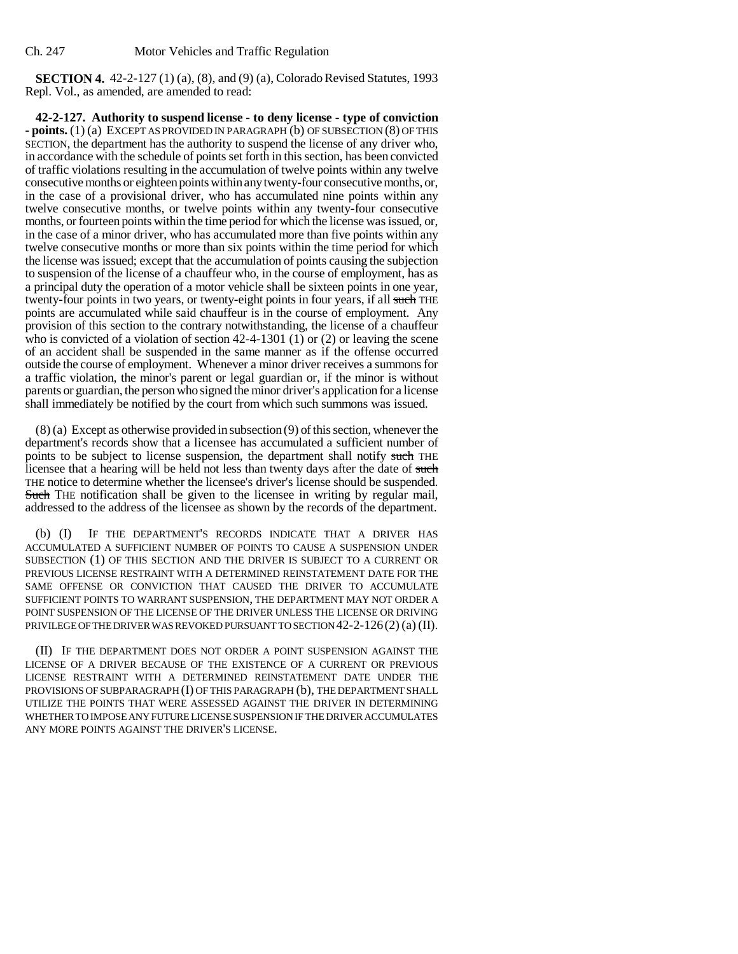**SECTION 4.** 42-2-127 (1) (a), (8), and (9) (a), Colorado Revised Statutes, 1993 Repl. Vol., as amended, are amended to read:

**42-2-127. Authority to suspend license - to deny license - type of conviction - points.** (1) (a) EXCEPT AS PROVIDED IN PARAGRAPH (b) OF SUBSECTION (8) OF THIS SECTION, the department has the authority to suspend the license of any driver who, in accordance with the schedule of points set forth in this section, has been convicted of traffic violations resulting in the accumulation of twelve points within any twelve consecutive months or eighteen points within any twenty-four consecutive months, or, in the case of a provisional driver, who has accumulated nine points within any twelve consecutive months, or twelve points within any twenty-four consecutive months, or fourteen points within the time period for which the license was issued, or, in the case of a minor driver, who has accumulated more than five points within any twelve consecutive months or more than six points within the time period for which the license was issued; except that the accumulation of points causing the subjection to suspension of the license of a chauffeur who, in the course of employment, has as a principal duty the operation of a motor vehicle shall be sixteen points in one year, twenty-four points in two years, or twenty-eight points in four years, if all such THE points are accumulated while said chauffeur is in the course of employment. Any provision of this section to the contrary notwithstanding, the license of a chauffeur who is convicted of a violation of section 42-4-1301 (1) or (2) or leaving the scene of an accident shall be suspended in the same manner as if the offense occurred outside the course of employment. Whenever a minor driver receives a summons for a traffic violation, the minor's parent or legal guardian or, if the minor is without parents or guardian, the person who signed the minor driver's application for a license shall immediately be notified by the court from which such summons was issued.

(8) (a) Except as otherwise provided in subsection (9) of this section, whenever the department's records show that a licensee has accumulated a sufficient number of points to be subject to license suspension, the department shall notify such THE licensee that a hearing will be held not less than twenty days after the date of such THE notice to determine whether the licensee's driver's license should be suspended. Such THE notification shall be given to the licensee in writing by regular mail, addressed to the address of the licensee as shown by the records of the department.

(b) (I) IF THE DEPARTMENT'S RECORDS INDICATE THAT A DRIVER HAS ACCUMULATED A SUFFICIENT NUMBER OF POINTS TO CAUSE A SUSPENSION UNDER SUBSECTION (1) OF THIS SECTION AND THE DRIVER IS SUBJECT TO A CURRENT OR PREVIOUS LICENSE RESTRAINT WITH A DETERMINED REINSTATEMENT DATE FOR THE SAME OFFENSE OR CONVICTION THAT CAUSED THE DRIVER TO ACCUMULATE SUFFICIENT POINTS TO WARRANT SUSPENSION, THE DEPARTMENT MAY NOT ORDER A POINT SUSPENSION OF THE LICENSE OF THE DRIVER UNLESS THE LICENSE OR DRIVING PRIVILEGE OF THE DRIVER WAS REVOKED PURSUANT TO SECTION 42-2-126(2) (a) (II).

(II) IF THE DEPARTMENT DOES NOT ORDER A POINT SUSPENSION AGAINST THE LICENSE OF A DRIVER BECAUSE OF THE EXISTENCE OF A CURRENT OR PREVIOUS LICENSE RESTRAINT WITH A DETERMINED REINSTATEMENT DATE UNDER THE PROVISIONS OF SUBPARAGRAPH (I) OF THIS PARAGRAPH (b), THE DEPARTMENT SHALL UTILIZE THE POINTS THAT WERE ASSESSED AGAINST THE DRIVER IN DETERMINING WHETHER TO IMPOSE ANY FUTURE LICENSE SUSPENSION IF THE DRIVER ACCUMULATES ANY MORE POINTS AGAINST THE DRIVER'S LICENSE.